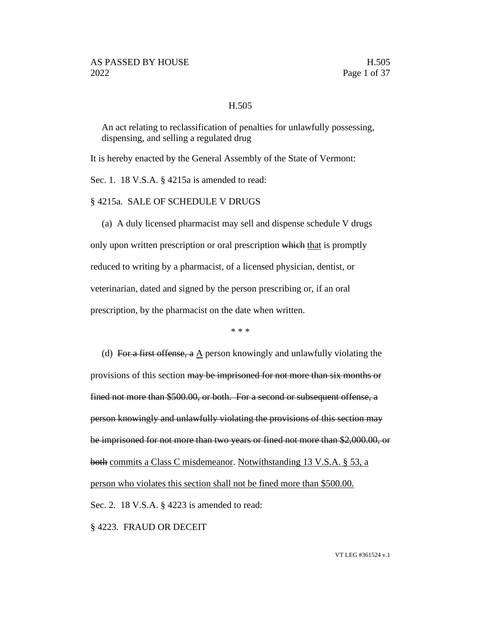#### H.505

An act relating to reclassification of penalties for unlawfully possessing, dispensing, and selling a regulated drug

It is hereby enacted by the General Assembly of the State of Vermont:

Sec. 1. 18 V.S.A. § 4215a is amended to read:

§ 4215a. SALE OF SCHEDULE V DRUGS

(a) A duly licensed pharmacist may sell and dispense schedule V drugs only upon written prescription or oral prescription which that is promptly reduced to writing by a pharmacist, of a licensed physician, dentist, or veterinarian, dated and signed by the person prescribing or, if an oral prescription, by the pharmacist on the date when written.

\* \* \*

(d) For a first offense, a A person knowingly and unlawfully violating the provisions of this section may be imprisoned for not more than six months or fined not more than \$500.00, or both. For a second or subsequent offense, a person knowingly and unlawfully violating the provisions of this section may be imprisoned for not more than two years or fined not more than \$2,000.00, or both commits a Class C misdemeanor. Notwithstanding 13 V.S.A. § 53, a person who violates this section shall not be fined more than \$500.00. Sec. 2. 18 V.S.A. § 4223 is amended to read: § 4223. FRAUD OR DECEIT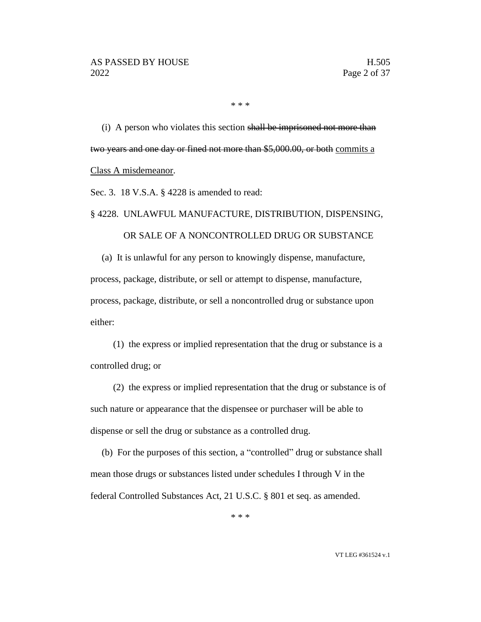\* \* \*

(i) A person who violates this section shall be imprisoned not more than two years and one day or fined not more than \$5,000.00, or both commits a Class A misdemeanor.

Sec. 3. 18 V.S.A. § 4228 is amended to read:

#### § 4228. UNLAWFUL MANUFACTURE, DISTRIBUTION, DISPENSING,

#### OR SALE OF A NONCONTROLLED DRUG OR SUBSTANCE

(a) It is unlawful for any person to knowingly dispense, manufacture,

process, package, distribute, or sell or attempt to dispense, manufacture, process, package, distribute, or sell a noncontrolled drug or substance upon either:

(1) the express or implied representation that the drug or substance is a controlled drug; or

(2) the express or implied representation that the drug or substance is of such nature or appearance that the dispensee or purchaser will be able to dispense or sell the drug or substance as a controlled drug.

(b) For the purposes of this section, a "controlled" drug or substance shall mean those drugs or substances listed under schedules I through V in the federal Controlled Substances Act, 21 U.S.C. § 801 et seq. as amended.

\* \* \*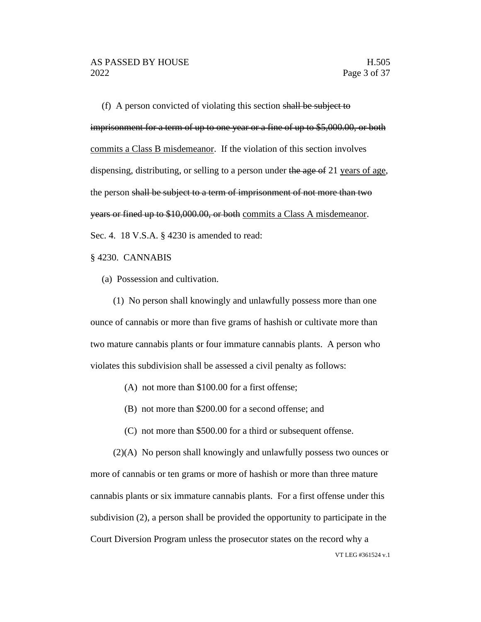(f) A person convicted of violating this section shall be subject to imprisonment for a term of up to one year or a fine of up to \$5,000.00, or both commits a Class B misdemeanor. If the violation of this section involves dispensing, distributing, or selling to a person under the age of 21 years of age, the person shall be subject to a term of imprisonment of not more than two years or fined up to \$10,000.00, or both commits a Class A misdemeanor. Sec. 4. 18 V.S.A. § 4230 is amended to read:

#### § 4230. CANNABIS

(a) Possession and cultivation.

(1) No person shall knowingly and unlawfully possess more than one ounce of cannabis or more than five grams of hashish or cultivate more than two mature cannabis plants or four immature cannabis plants. A person who violates this subdivision shall be assessed a civil penalty as follows:

- (A) not more than \$100.00 for a first offense;
- (B) not more than \$200.00 for a second offense; and
- (C) not more than \$500.00 for a third or subsequent offense.

VT LEG #361524 v.1 (2)(A) No person shall knowingly and unlawfully possess two ounces or more of cannabis or ten grams or more of hashish or more than three mature cannabis plants or six immature cannabis plants. For a first offense under this subdivision (2), a person shall be provided the opportunity to participate in the Court Diversion Program unless the prosecutor states on the record why a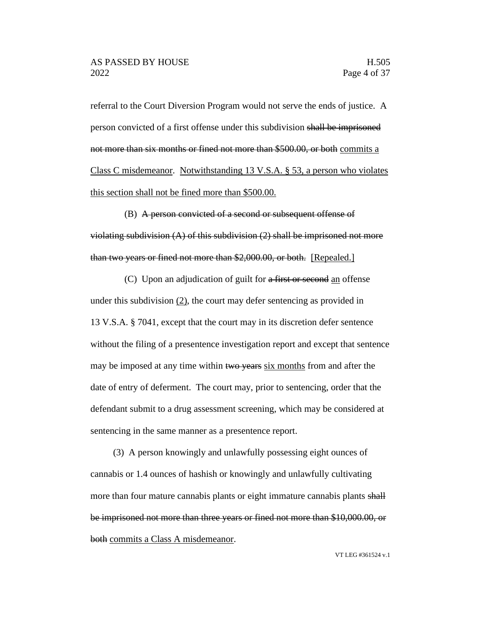referral to the Court Diversion Program would not serve the ends of justice. A person convicted of a first offense under this subdivision shall be imprisoned not more than six months or fined not more than \$500.00, or both commits a Class C misdemeanor. Notwithstanding 13 V.S.A. § 53, a person who violates this section shall not be fined more than \$500.00.

(B) A person convicted of a second or subsequent offense of violating subdivision  $(A)$  of this subdivision  $(2)$  shall be imprisoned not more than two years or fined not more than \$2,000.00, or both. [Repealed.]

(C) Upon an adjudication of guilt for a first or second an offense under this subdivision  $(2)$ , the court may defer sentencing as provided in 13 V.S.A. § 7041, except that the court may in its discretion defer sentence without the filing of a presentence investigation report and except that sentence may be imposed at any time within two years six months from and after the date of entry of deferment. The court may, prior to sentencing, order that the defendant submit to a drug assessment screening, which may be considered at sentencing in the same manner as a presentence report.

(3) A person knowingly and unlawfully possessing eight ounces of cannabis or 1.4 ounces of hashish or knowingly and unlawfully cultivating more than four mature cannabis plants or eight immature cannabis plants shall be imprisoned not more than three years or fined not more than \$10,000.00, or both commits a Class A misdemeanor.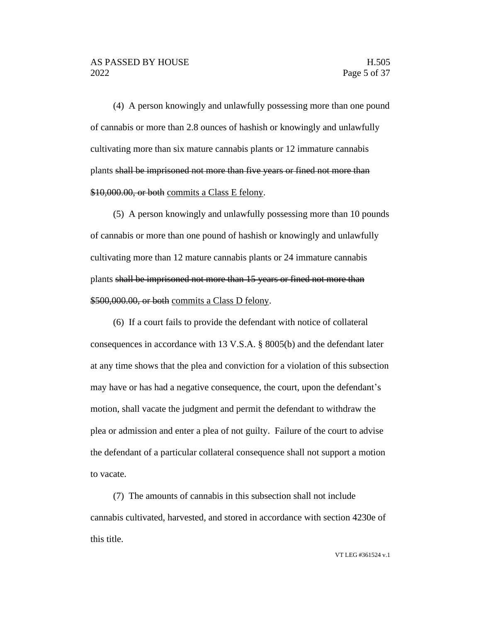(4) A person knowingly and unlawfully possessing more than one pound of cannabis or more than 2.8 ounces of hashish or knowingly and unlawfully cultivating more than six mature cannabis plants or 12 immature cannabis plants shall be imprisoned not more than five years or fined not more than \$10,000.00, or both commits a Class E felony.

(5) A person knowingly and unlawfully possessing more than 10 pounds of cannabis or more than one pound of hashish or knowingly and unlawfully cultivating more than 12 mature cannabis plants or 24 immature cannabis plants shall be imprisoned not more than 15 years or fined not more than \$500,000.00, or both commits a Class D felony.

(6) If a court fails to provide the defendant with notice of collateral consequences in accordance with 13 V.S.A. § 8005(b) and the defendant later at any time shows that the plea and conviction for a violation of this subsection may have or has had a negative consequence, the court, upon the defendant's motion, shall vacate the judgment and permit the defendant to withdraw the plea or admission and enter a plea of not guilty. Failure of the court to advise the defendant of a particular collateral consequence shall not support a motion to vacate.

(7) The amounts of cannabis in this subsection shall not include cannabis cultivated, harvested, and stored in accordance with section 4230e of this title.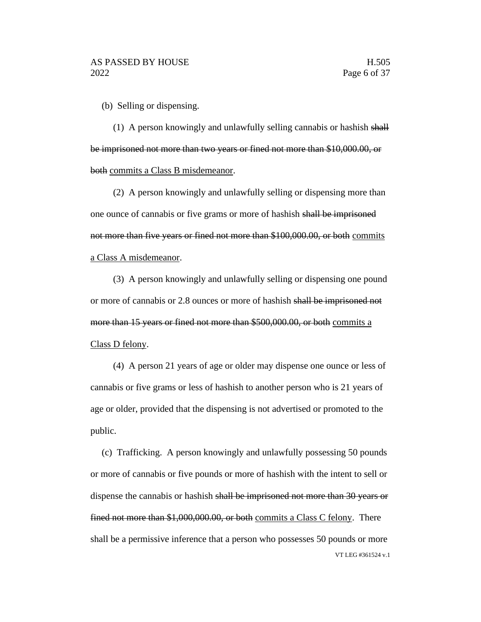(b) Selling or dispensing.

(1) A person knowingly and unlawfully selling cannabis or hashish shall be imprisoned not more than two years or fined not more than \$10,000.00, or both commits a Class B misdemeanor.

(2) A person knowingly and unlawfully selling or dispensing more than one ounce of cannabis or five grams or more of hashish shall be imprisoned not more than five years or fined not more than \$100,000.00, or both commits a Class A misdemeanor.

(3) A person knowingly and unlawfully selling or dispensing one pound or more of cannabis or 2.8 ounces or more of hashish shall be imprisoned not more than 15 years or fined not more than \$500,000.00, or both commits a Class D felony.

(4) A person 21 years of age or older may dispense one ounce or less of cannabis or five grams or less of hashish to another person who is 21 years of age or older, provided that the dispensing is not advertised or promoted to the public.

VT LEG #361524 v.1 (c) Trafficking. A person knowingly and unlawfully possessing 50 pounds or more of cannabis or five pounds or more of hashish with the intent to sell or dispense the cannabis or hashish shall be imprisoned not more than 30 years or fined not more than \$1,000,000.00, or both commits a Class C felony. There shall be a permissive inference that a person who possesses 50 pounds or more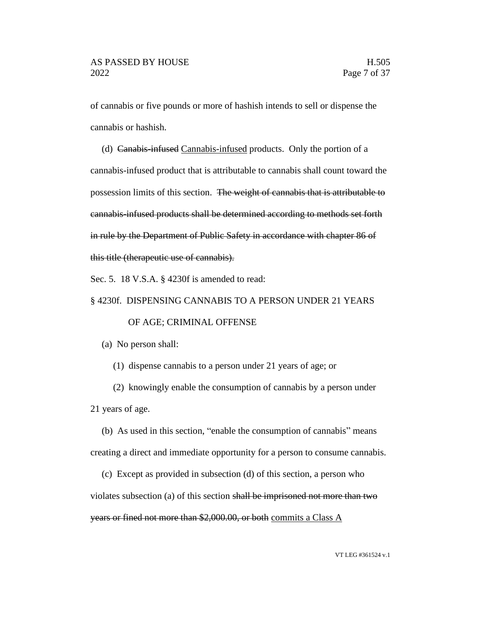of cannabis or five pounds or more of hashish intends to sell or dispense the cannabis or hashish.

(d) Canabis-infused Cannabis-infused products. Only the portion of a cannabis-infused product that is attributable to cannabis shall count toward the possession limits of this section. The weight of cannabis that is attributable to cannabis-infused products shall be determined according to methods set forth in rule by the Department of Public Safety in accordance with chapter 86 of this title (therapeutic use of cannabis).

Sec. 5. 18 V.S.A. § 4230f is amended to read:

#### § 4230f. DISPENSING CANNABIS TO A PERSON UNDER 21 YEARS

#### OF AGE; CRIMINAL OFFENSE

(a) No person shall:

(1) dispense cannabis to a person under 21 years of age; or

(2) knowingly enable the consumption of cannabis by a person under 21 years of age.

(b) As used in this section, "enable the consumption of cannabis" means creating a direct and immediate opportunity for a person to consume cannabis.

(c) Except as provided in subsection (d) of this section, a person who violates subsection (a) of this section shall be imprisoned not more than two years or fined not more than \$2,000.00, or both commits a Class A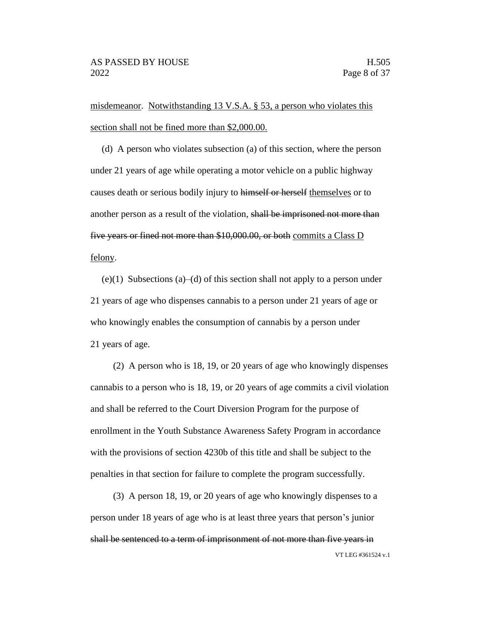misdemeanor. Notwithstanding 13 V.S.A. § 53, a person who violates this section shall not be fined more than \$2,000.00.

(d) A person who violates subsection (a) of this section, where the person under 21 years of age while operating a motor vehicle on a public highway causes death or serious bodily injury to hemself or herself themselves or to another person as a result of the violation, shall be imprisoned not more than five years or fined not more than \$10,000.00, or both commits a Class D felony.

 $(e)(1)$  Subsections  $(a)$ – $(d)$  of this section shall not apply to a person under 21 years of age who dispenses cannabis to a person under 21 years of age or who knowingly enables the consumption of cannabis by a person under 21 years of age.

(2) A person who is 18, 19, or 20 years of age who knowingly dispenses cannabis to a person who is 18, 19, or 20 years of age commits a civil violation and shall be referred to the Court Diversion Program for the purpose of enrollment in the Youth Substance Awareness Safety Program in accordance with the provisions of section 4230b of this title and shall be subject to the penalties in that section for failure to complete the program successfully.

VT LEG #361524 v.1 (3) A person 18, 19, or 20 years of age who knowingly dispenses to a person under 18 years of age who is at least three years that person's junior shall be sentenced to a term of imprisonment of not more than five years in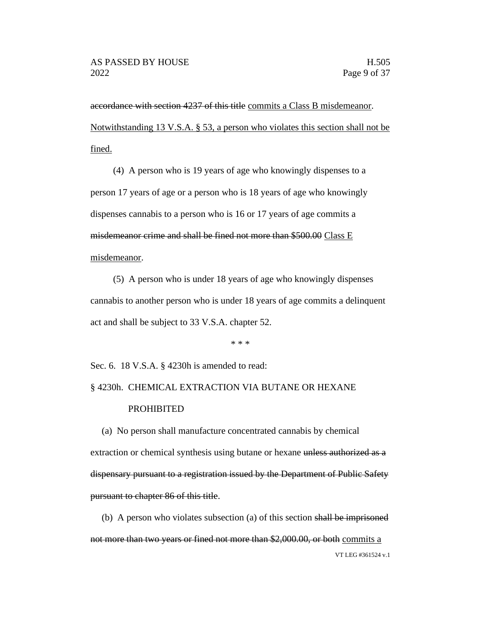accordance with section 4237 of this title commits a Class B misdemeanor. Notwithstanding 13 V.S.A. § 53, a person who violates this section shall not be fined.

(4) A person who is 19 years of age who knowingly dispenses to a person 17 years of age or a person who is 18 years of age who knowingly dispenses cannabis to a person who is 16 or 17 years of age commits a misdemeanor crime and shall be fined not more than \$500.00 Class E misdemeanor.

(5) A person who is under 18 years of age who knowingly dispenses cannabis to another person who is under 18 years of age commits a delinquent act and shall be subject to 33 V.S.A. chapter 52.

\* \* \*

Sec. 6. 18 V.S.A. § 4230h is amended to read:

# § 4230h. CHEMICAL EXTRACTION VIA BUTANE OR HEXANE PROHIBITED

(a) No person shall manufacture concentrated cannabis by chemical extraction or chemical synthesis using butane or hexane unless authorized as a dispensary pursuant to a registration issued by the Department of Public Safety pursuant to chapter 86 of this title.

VT LEG #361524 v.1 (b) A person who violates subsection (a) of this section shall be imprisoned not more than two years or fined not more than \$2,000.00, or both commits a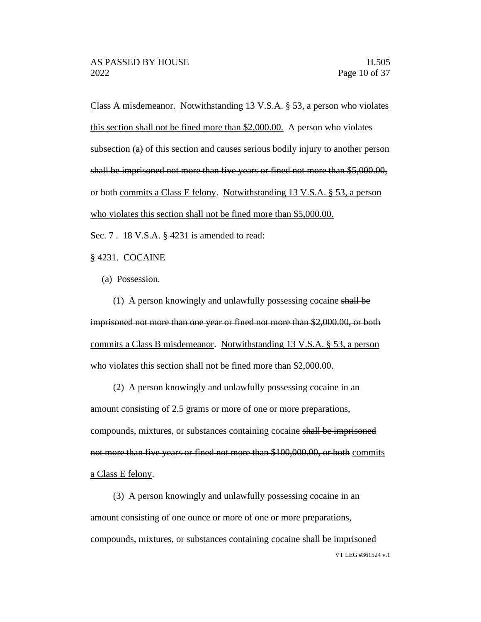Class A misdemeanor. Notwithstanding 13 V.S.A. § 53, a person who violates this section shall not be fined more than \$2,000.00. A person who violates subsection (a) of this section and causes serious bodily injury to another person shall be imprisoned not more than five years or fined not more than \$5,000.00, or both commits a Class E felony. Notwithstanding 13 V.S.A. § 53, a person who violates this section shall not be fined more than \$5,000.00.

Sec. 7 . 18 V.S.A. § 4231 is amended to read:

§ 4231. COCAINE

(a) Possession.

(1) A person knowingly and unlawfully possessing cocaine shall be imprisoned not more than one year or fined not more than \$2,000.00, or both commits a Class B misdemeanor. Notwithstanding 13 V.S.A. § 53, a person who violates this section shall not be fined more than \$2,000.00.

(2) A person knowingly and unlawfully possessing cocaine in an amount consisting of 2.5 grams or more of one or more preparations, compounds, mixtures, or substances containing cocaine shall be imprisoned not more than five years or fined not more than \$100,000.00, or both commits a Class E felony.

VT LEG #361524 v.1 (3) A person knowingly and unlawfully possessing cocaine in an amount consisting of one ounce or more of one or more preparations, compounds, mixtures, or substances containing cocaine shall be imprisoned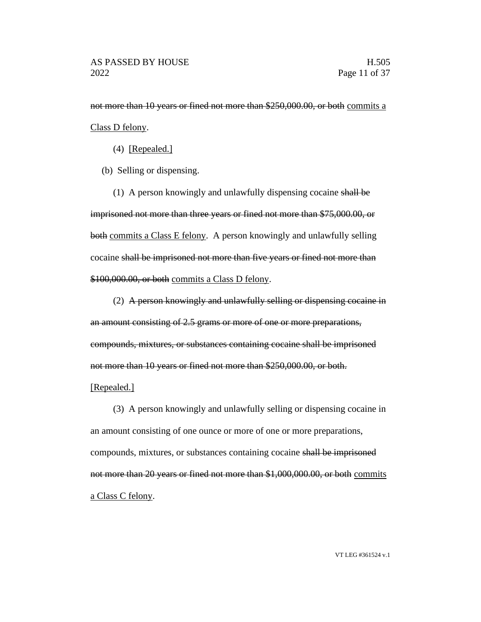not more than 10 years or fined not more than \$250,000.00, or both commits a Class D felony.

(4) [Repealed.]

(b) Selling or dispensing.

(1) A person knowingly and unlawfully dispensing cocaine shall be imprisoned not more than three years or fined not more than \$75,000.00, or both commits a Class E felony. A person knowingly and unlawfully selling cocaine shall be imprisoned not more than five years or fined not more than \$100,000.00, or both commits a Class D felony.

(2) A person knowingly and unlawfully selling or dispensing cocaine in an amount consisting of 2.5 grams or more of one or more preparations, compounds, mixtures, or substances containing cocaine shall be imprisoned not more than 10 years or fined not more than \$250,000.00, or both.

#### [Repealed.]

(3) A person knowingly and unlawfully selling or dispensing cocaine in an amount consisting of one ounce or more of one or more preparations, compounds, mixtures, or substances containing cocaine shall be imprisoned not more than 20 years or fined not more than \$1,000,000.00, or both commits a Class C felony.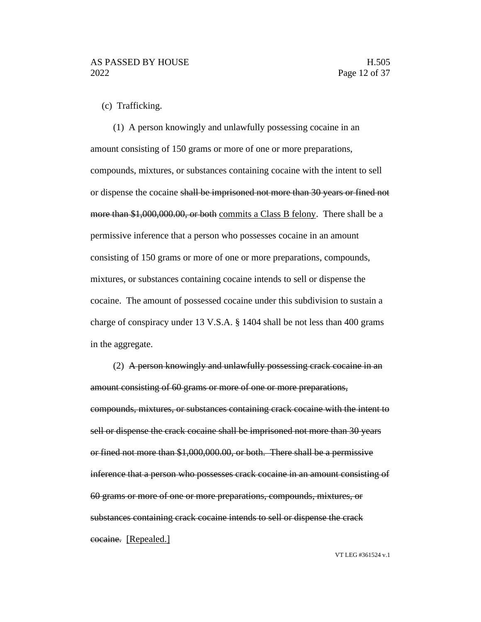#### (c) Trafficking.

(1) A person knowingly and unlawfully possessing cocaine in an amount consisting of 150 grams or more of one or more preparations, compounds, mixtures, or substances containing cocaine with the intent to sell or dispense the cocaine shall be imprisoned not more than 30 years or fined not more than \$1,000,000.00, or both commits a Class B felony. There shall be a permissive inference that a person who possesses cocaine in an amount consisting of 150 grams or more of one or more preparations, compounds, mixtures, or substances containing cocaine intends to sell or dispense the cocaine. The amount of possessed cocaine under this subdivision to sustain a charge of conspiracy under 13 V.S.A. § 1404 shall be not less than 400 grams in the aggregate.

(2) A person knowingly and unlawfully possessing crack cocaine in an amount consisting of 60 grams or more of one or more preparations, compounds, mixtures, or substances containing crack cocaine with the intent to sell or dispense the crack cocaine shall be imprisoned not more than 30 years or fined not more than \$1,000,000.00, or both. There shall be a permissive inference that a person who possesses crack cocaine in an amount consisting of 60 grams or more of one or more preparations, compounds, mixtures, or substances containing crack cocaine intends to sell or dispense the crack cocaine. [Repealed.]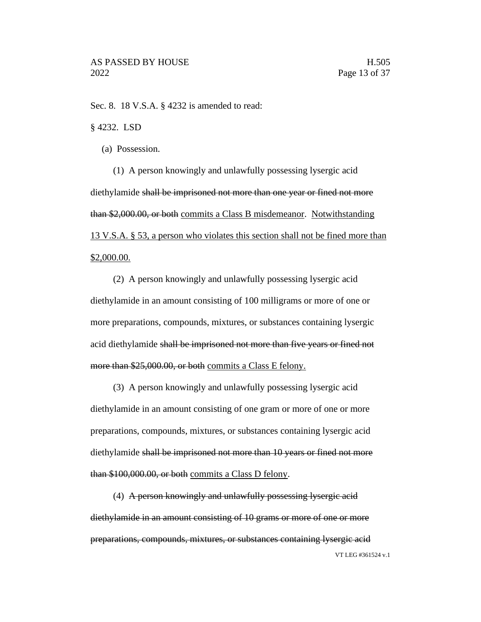Sec. 8. 18 V.S.A. § 4232 is amended to read:

§ 4232. LSD

(a) Possession.

(1) A person knowingly and unlawfully possessing lysergic acid diethylamide shall be imprisoned not more than one year or fined not more than \$2,000.00, or both commits a Class B misdemeanor. Notwithstanding 13 V.S.A. § 53, a person who violates this section shall not be fined more than \$2,000.00.

(2) A person knowingly and unlawfully possessing lysergic acid diethylamide in an amount consisting of 100 milligrams or more of one or more preparations, compounds, mixtures, or substances containing lysergic acid diethylamide shall be imprisoned not more than five years or fined not more than \$25,000.00, or both commits a Class E felony.

(3) A person knowingly and unlawfully possessing lysergic acid diethylamide in an amount consisting of one gram or more of one or more preparations, compounds, mixtures, or substances containing lysergic acid diethylamide shall be imprisoned not more than 10 years or fined not more than \$100,000.00, or both commits a Class D felony.

VT LEG #361524 v.1 (4) A person knowingly and unlawfully possessing lysergic acid diethylamide in an amount consisting of 10 grams or more of one or more preparations, compounds, mixtures, or substances containing lysergic acid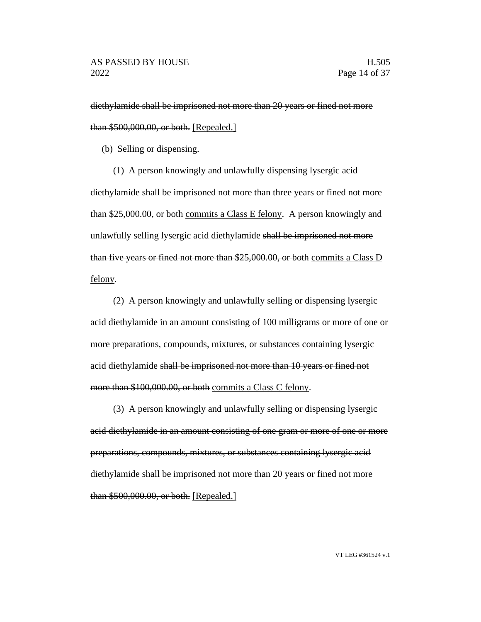diethylamide shall be imprisoned not more than 20 years or fined not more than \$500,000.00, or both. [Repealed.]

(b) Selling or dispensing.

(1) A person knowingly and unlawfully dispensing lysergic acid diethylamide shall be imprisoned not more than three years or fined not more than \$25,000.00, or both commits a Class E felony. A person knowingly and unlawfully selling lysergic acid diethylamide shall be imprisoned not more than five years or fined not more than \$25,000.00, or both commits a Class D felony.

(2) A person knowingly and unlawfully selling or dispensing lysergic acid diethylamide in an amount consisting of 100 milligrams or more of one or more preparations, compounds, mixtures, or substances containing lysergic acid diethylamide shall be imprisoned not more than 10 years or fined not more than \$100,000.00, or both commits a Class C felony.

(3) A person knowingly and unlawfully selling or dispensing lysergic acid diethylamide in an amount consisting of one gram or more of one or more preparations, compounds, mixtures, or substances containing lysergic acid diethylamide shall be imprisoned not more than 20 years or fined not more than \$500,000.00, or both. [Repealed.]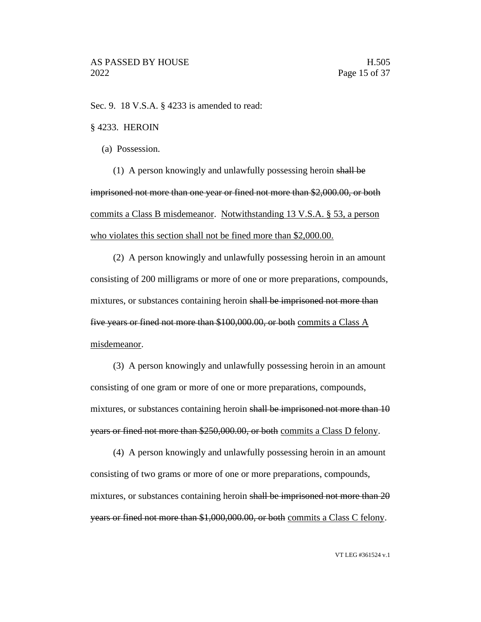Sec. 9. 18 V.S.A. § 4233 is amended to read:

#### § 4233. HEROIN

(a) Possession.

(1) A person knowingly and unlawfully possessing heroin shall be imprisoned not more than one year or fined not more than \$2,000.00, or both commits a Class B misdemeanor. Notwithstanding 13 V.S.A. § 53, a person who violates this section shall not be fined more than \$2,000.00.

(2) A person knowingly and unlawfully possessing heroin in an amount consisting of 200 milligrams or more of one or more preparations, compounds, mixtures, or substances containing heroin shall be imprisoned not more than five years or fined not more than \$100,000.00, or both commits a Class A misdemeanor.

(3) A person knowingly and unlawfully possessing heroin in an amount consisting of one gram or more of one or more preparations, compounds, mixtures, or substances containing heroin shall be imprisoned not more than 10 years or fined not more than \$250,000.00, or both commits a Class D felony.

(4) A person knowingly and unlawfully possessing heroin in an amount consisting of two grams or more of one or more preparations, compounds, mixtures, or substances containing heroin shall be imprisoned not more than 20 years or fined not more than \$1,000,000.00, or both commits a Class C felony.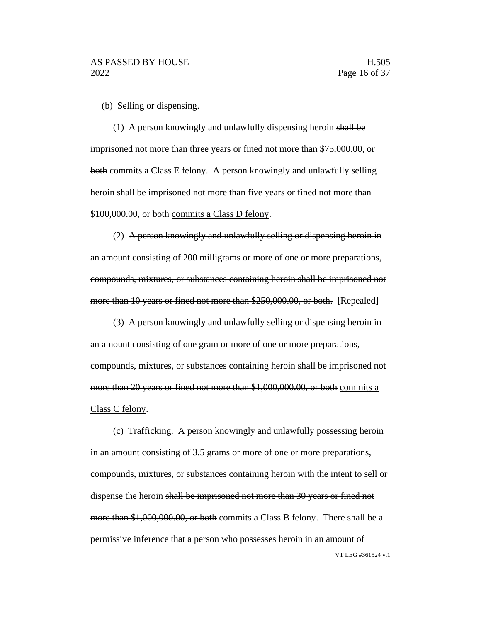(b) Selling or dispensing.

(1) A person knowingly and unlawfully dispensing heroin shall be imprisoned not more than three years or fined not more than \$75,000.00, or both commits a Class E felony. A person knowingly and unlawfully selling heroin shall be imprisoned not more than five years or fined not more than \$100,000.00, or both commits a Class D felony.

(2) A person knowingly and unlawfully selling or dispensing heroin in an amount consisting of 200 milligrams or more of one or more preparations, compounds, mixtures, or substances containing heroin shall be imprisoned not more than 10 years or fined not more than \$250,000.00, or both. [Repealed]

(3) A person knowingly and unlawfully selling or dispensing heroin in an amount consisting of one gram or more of one or more preparations, compounds, mixtures, or substances containing heroin shall be imprisoned not more than 20 years or fined not more than \$1,000,000.00, or both commits a Class C felony.

VT LEG #361524 v.1 (c) Trafficking. A person knowingly and unlawfully possessing heroin in an amount consisting of 3.5 grams or more of one or more preparations, compounds, mixtures, or substances containing heroin with the intent to sell or dispense the heroin shall be imprisoned not more than 30 years or fined not more than \$1,000,000.00, or both commits a Class B felony. There shall be a permissive inference that a person who possesses heroin in an amount of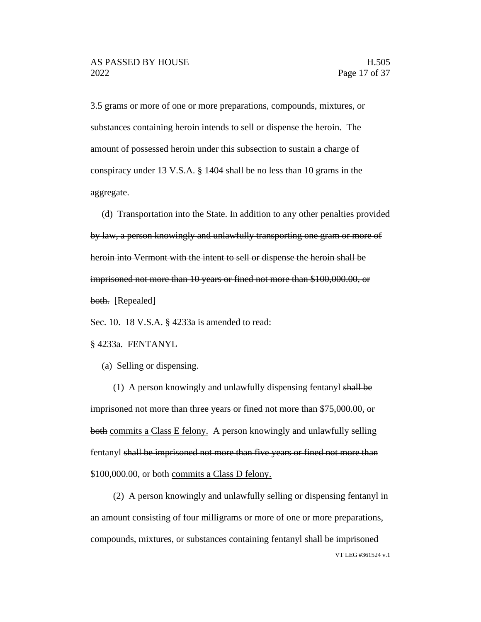3.5 grams or more of one or more preparations, compounds, mixtures, or substances containing heroin intends to sell or dispense the heroin. The amount of possessed heroin under this subsection to sustain a charge of conspiracy under 13 V.S.A. § 1404 shall be no less than 10 grams in the aggregate.

(d) Transportation into the State. In addition to any other penalties provided by law, a person knowingly and unlawfully transporting one gram or more of heroin into Vermont with the intent to sell or dispense the heroin shall be imprisoned not more than 10 years or fined not more than \$100,000.00, or both. [Repealed]

Sec. 10. 18 V.S.A. § 4233a is amended to read:

#### § 4233a. FENTANYL

(a) Selling or dispensing.

(1) A person knowingly and unlawfully dispensing fentanyl shall be imprisoned not more than three years or fined not more than \$75,000.00, or both commits a Class E felony. A person knowingly and unlawfully selling fentanyl shall be imprisoned not more than five years or fined not more than \$100,000.00, or both commits a Class D felony.

VT LEG #361524 v.1 (2) A person knowingly and unlawfully selling or dispensing fentanyl in an amount consisting of four milligrams or more of one or more preparations, compounds, mixtures, or substances containing fentanyl shall be imprisoned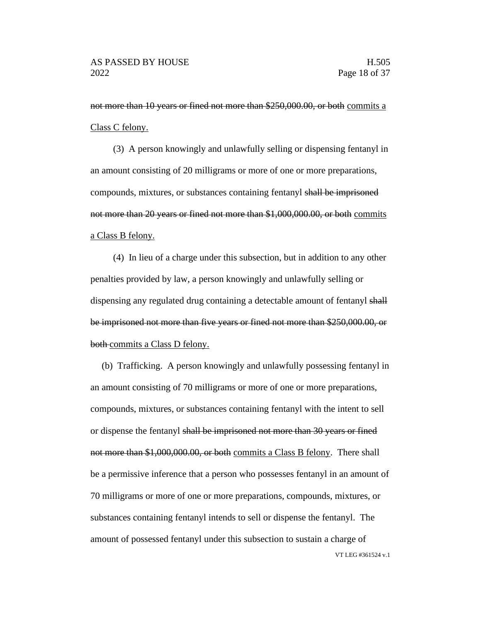not more than 10 years or fined not more than \$250,000.00, or both commits a Class C felony.

(3) A person knowingly and unlawfully selling or dispensing fentanyl in an amount consisting of 20 milligrams or more of one or more preparations, compounds, mixtures, or substances containing fentanyl shall be imprisoned not more than 20 years or fined not more than \$1,000,000.00, or both commits a Class B felony.

(4) In lieu of a charge under this subsection, but in addition to any other penalties provided by law, a person knowingly and unlawfully selling or dispensing any regulated drug containing a detectable amount of fentanyl shall be imprisoned not more than five years or fined not more than \$250,000.00, or both commits a Class D felony.

VT LEG #361524 v.1 (b) Trafficking. A person knowingly and unlawfully possessing fentanyl in an amount consisting of 70 milligrams or more of one or more preparations, compounds, mixtures, or substances containing fentanyl with the intent to sell or dispense the fentanyl shall be imprisoned not more than 30 years or fined not more than \$1,000,000.00, or both commits a Class B felony. There shall be a permissive inference that a person who possesses fentanyl in an amount of 70 milligrams or more of one or more preparations, compounds, mixtures, or substances containing fentanyl intends to sell or dispense the fentanyl. The amount of possessed fentanyl under this subsection to sustain a charge of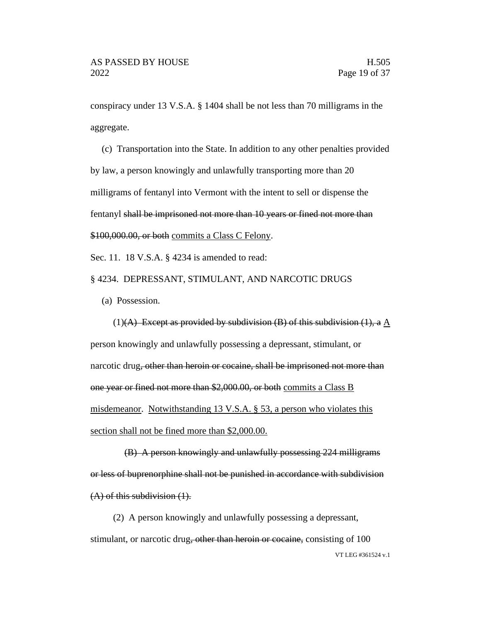conspiracy under 13 V.S.A. § 1404 shall be not less than 70 milligrams in the aggregate.

(c) Transportation into the State. In addition to any other penalties provided by law, a person knowingly and unlawfully transporting more than 20 milligrams of fentanyl into Vermont with the intent to sell or dispense the fentanyl shall be imprisoned not more than 10 years or fined not more than \$100,000.00, or both commits a Class C Felony.

Sec. 11. 18 V.S.A. § 4234 is amended to read:

§ 4234. DEPRESSANT, STIMULANT, AND NARCOTIC DRUGS

(a) Possession.

(1)(A) Except as provided by subdivision (B) of this subdivision (1), a  $\underline{A}$ person knowingly and unlawfully possessing a depressant, stimulant, or narcotic drug, other than heroin or cocaine, shall be imprisoned not more than one year or fined not more than \$2,000.00, or both commits a Class B misdemeanor. Notwithstanding 13 V.S.A. § 53, a person who violates this section shall not be fined more than \$2,000.00.

(B) A person knowingly and unlawfully possessing 224 milligrams or less of buprenorphine shall not be punished in accordance with subdivision (A) of this subdivision (1).

VT LEG #361524 v.1 (2) A person knowingly and unlawfully possessing a depressant, stimulant, or narcotic drug, other than heroin or cocaine, consisting of 100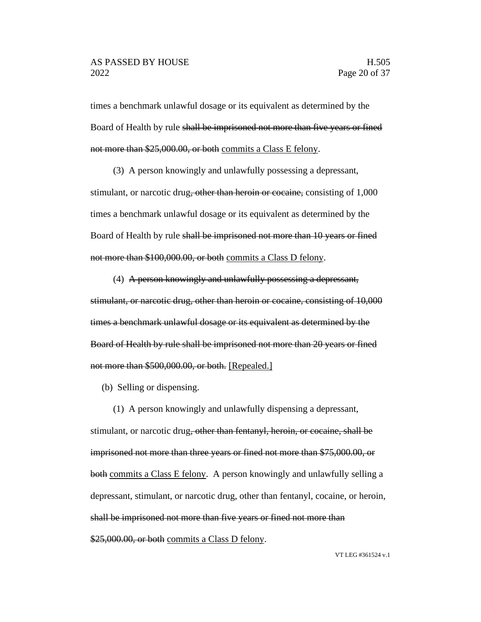times a benchmark unlawful dosage or its equivalent as determined by the Board of Health by rule shall be imprisoned not more than five years or fined not more than \$25,000.00, or both commits a Class E felony.

(3) A person knowingly and unlawfully possessing a depressant,

stimulant, or narcotic drug, other than heroin or cocaine, consisting of 1,000 times a benchmark unlawful dosage or its equivalent as determined by the Board of Health by rule shall be imprisoned not more than 10 years or fined not more than \$100,000.00, or both commits a Class D felony.

(4) A person knowingly and unlawfully possessing a depressant, stimulant, or narcotic drug, other than heroin or cocaine, consisting of 10,000 times a benchmark unlawful dosage or its equivalent as determined by the Board of Health by rule shall be imprisoned not more than 20 years or fined not more than \$500,000.00, or both. [Repealed.]

(b) Selling or dispensing.

(1) A person knowingly and unlawfully dispensing a depressant,

stimulant, or narcotic drug<del>, other than fentanyl, heroin, or cocaine, shall be</del> imprisoned not more than three years or fined not more than \$75,000.00, or both commits a Class E felony. A person knowingly and unlawfully selling a depressant, stimulant, or narcotic drug, other than fentanyl, cocaine, or heroin, shall be imprisoned not more than five years or fined not more than \$25,000.00, or both commits a Class D felony.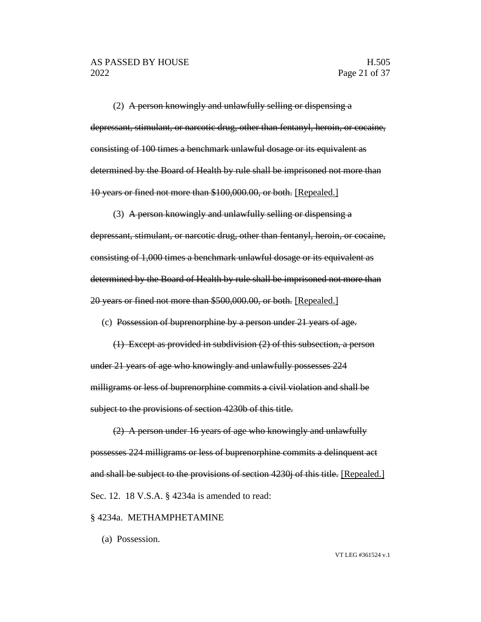(2) A person knowingly and unlawfully selling or dispensing  $a$ depressant, stimulant, or narcotic drug, other than fentanyl, heroin, or cocaine, consisting of 100 times a benchmark unlawful dosage or its equivalent as determined by the Board of Health by rule shall be imprisoned not more than 10 years or fined not more than \$100,000.00, or both. [Repealed.]

(3) A person knowingly and unlawfully selling or dispensing a depressant, stimulant, or narcotic drug, other than fentanyl, heroin, or cocaine, consisting of 1,000 times a benchmark unlawful dosage or its equivalent as determined by the Board of Health by rule shall be imprisoned not more than 20 years or fined not more than \$500,000.00, or both. [Repealed.]

(c) Possession of buprenorphine by a person under 21 years of age.

(1) Except as provided in subdivision (2) of this subsection, a person under 21 years of age who knowingly and unlawfully possesses 224 milligrams or less of buprenorphine commits a civil violation and shall be subject to the provisions of section 4230b of this title.

(2) A person under 16 years of age who knowingly and unlawfully possesses 224 milligrams or less of buprenorphine commits a delinquent act and shall be subject to the provisions of section 4230 of this title. [Repealed.] Sec. 12. 18 V.S.A. § 4234a is amended to read:

#### § 4234a. METHAMPHETAMINE

(a) Possession.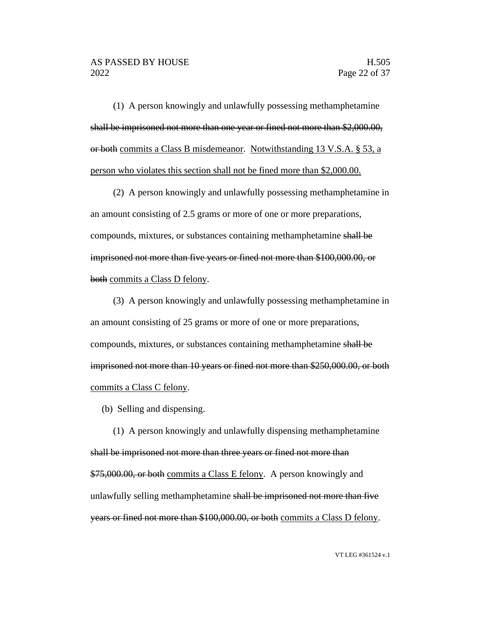(1) A person knowingly and unlawfully possessing methamphetamine shall be imprisoned not more than one year or fined not more than \$2,000.00, or both commits a Class B misdemeanor. Notwithstanding 13 V.S.A. § 53, a person who violates this section shall not be fined more than \$2,000.00.

(2) A person knowingly and unlawfully possessing methamphetamine in an amount consisting of 2.5 grams or more of one or more preparations, compounds, mixtures, or substances containing methamphetamine shall be imprisoned not more than five years or fined not more than \$100,000.00, or both commits a Class D felony.

(3) A person knowingly and unlawfully possessing methamphetamine in an amount consisting of 25 grams or more of one or more preparations, compounds, mixtures, or substances containing methamphetamine shall be imprisoned not more than 10 years or fined not more than \$250,000.00, or both commits a Class C felony.

(b) Selling and dispensing.

(1) A person knowingly and unlawfully dispensing methamphetamine shall be imprisoned not more than three years or fined not more than \$75,000.00, or both commits a Class E felony. A person knowingly and unlawfully selling methamphetamine shall be imprisoned not more than five years or fined not more than \$100,000.00, or both commits a Class D felony.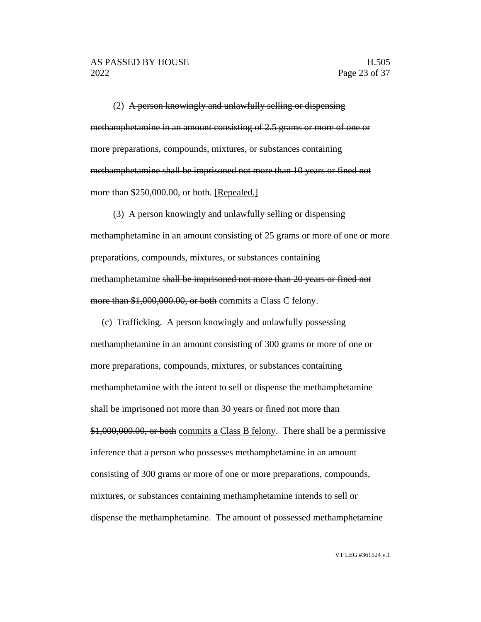(2) A person knowingly and unlawfully selling or dispensing methamphetamine in an amount consisting of 2.5 grams or more of one or more preparations, compounds, mixtures, or substances containing methamphetamine shall be imprisoned not more than 10 years or fined not more than \$250,000.00, or both. [Repealed.]

(3) A person knowingly and unlawfully selling or dispensing methamphetamine in an amount consisting of 25 grams or more of one or more preparations, compounds, mixtures, or substances containing methamphetamine shall be imprisoned not more than 20 years or fined not more than \$1,000,000.00, or both commits a Class C felony.

(c) Trafficking. A person knowingly and unlawfully possessing methamphetamine in an amount consisting of 300 grams or more of one or more preparations, compounds, mixtures, or substances containing methamphetamine with the intent to sell or dispense the methamphetamine shall be imprisoned not more than 30 years or fined not more than \$1,000,000.00, or both commits a Class B felony. There shall be a permissive inference that a person who possesses methamphetamine in an amount consisting of 300 grams or more of one or more preparations, compounds, mixtures, or substances containing methamphetamine intends to sell or dispense the methamphetamine. The amount of possessed methamphetamine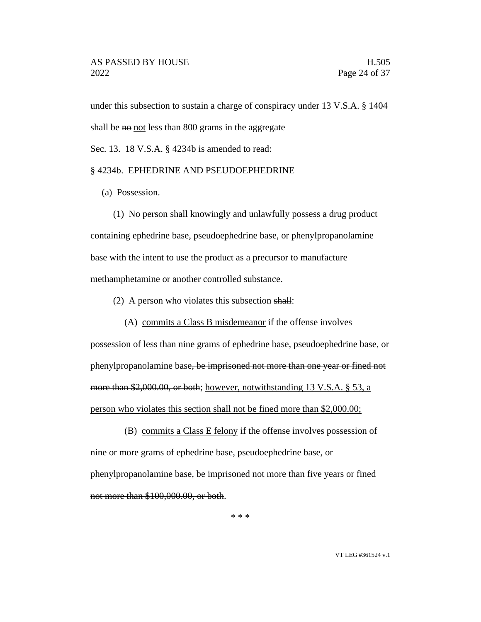under this subsection to sustain a charge of conspiracy under 13 V.S.A. § 1404 shall be no not less than 800 grams in the aggregate

Sec. 13. 18 V.S.A. § 4234b is amended to read:

#### § 4234b. EPHEDRINE AND PSEUDOEPHEDRINE

(a) Possession.

(1) No person shall knowingly and unlawfully possess a drug product containing ephedrine base, pseudoephedrine base, or phenylpropanolamine base with the intent to use the product as a precursor to manufacture methamphetamine or another controlled substance.

(2) A person who violates this subsection shall:

(A) commits a Class B misdemeanor if the offense involves possession of less than nine grams of ephedrine base, pseudoephedrine base, or phenylpropanolamine base, be imprisoned not more than one year or fined not more than \$2,000.00, or both; however, notwithstanding 13 V.S.A. § 53, a

person who violates this section shall not be fined more than \$2,000.00;

(B) commits a Class E felony if the offense involves possession of nine or more grams of ephedrine base, pseudoephedrine base, or phenylpropanolamine base, be imprisoned not more than five years or fined not more than \$100,000.00, or both.

\* \* \*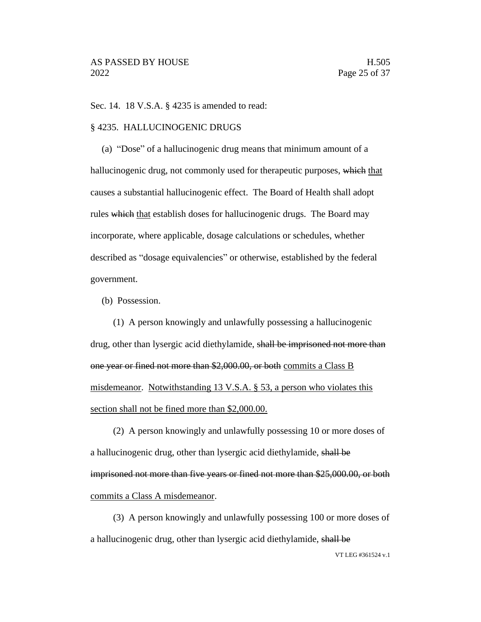Sec. 14. 18 V.S.A. § 4235 is amended to read:

#### § 4235. HALLUCINOGENIC DRUGS

(a) "Dose" of a hallucinogenic drug means that minimum amount of a hallucinogenic drug, not commonly used for therapeutic purposes, which that causes a substantial hallucinogenic effect. The Board of Health shall adopt rules which that establish doses for hallucinogenic drugs. The Board may incorporate, where applicable, dosage calculations or schedules, whether described as "dosage equivalencies" or otherwise, established by the federal government.

(b) Possession.

(1) A person knowingly and unlawfully possessing a hallucinogenic drug, other than lysergic acid diethylamide, shall be imprisoned not more than one year or fined not more than \$2,000.00, or both commits a Class B misdemeanor. Notwithstanding 13 V.S.A. § 53, a person who violates this section shall not be fined more than \$2,000.00.

(2) A person knowingly and unlawfully possessing 10 or more doses of a hallucinogenic drug, other than lysergic acid diethylamide, shall be imprisoned not more than five years or fined not more than \$25,000.00, or both commits a Class A misdemeanor.

(3) A person knowingly and unlawfully possessing 100 or more doses of a hallucinogenic drug, other than lysergic acid diethylamide, shall be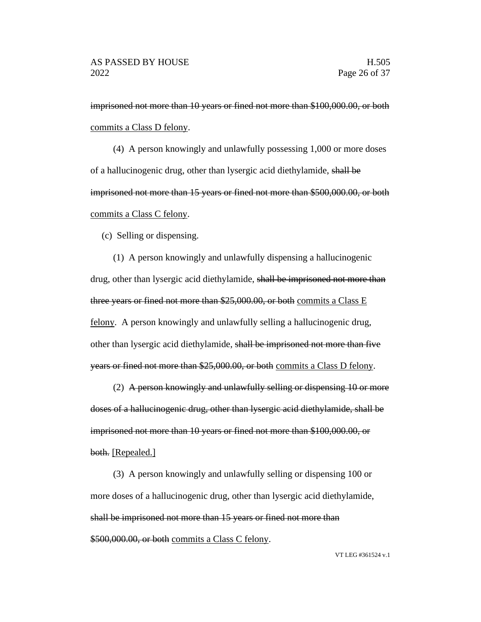imprisoned not more than 10 years or fined not more than \$100,000.00, or both commits a Class D felony.

(4) A person knowingly and unlawfully possessing 1,000 or more doses of a hallucinogenic drug, other than lysergic acid diethylamide, shall be imprisoned not more than 15 years or fined not more than \$500,000.00, or both commits a Class C felony.

(c) Selling or dispensing.

(1) A person knowingly and unlawfully dispensing a hallucinogenic drug, other than lysergic acid diethylamide, shall be imprisoned not more than three years or fined not more than \$25,000.00, or both commits a Class E felony. A person knowingly and unlawfully selling a hallucinogenic drug, other than lysergic acid diethylamide, shall be imprisoned not more than five years or fined not more than \$25,000.00, or both commits a Class D felony.

(2) A person knowingly and unlawfully selling or dispensing 10 or more doses of a hallucinogenic drug, other than lysergic acid diethylamide, shall be imprisoned not more than 10 years or fined not more than \$100,000.00, or both. [Repealed.]

(3) A person knowingly and unlawfully selling or dispensing 100 or more doses of a hallucinogenic drug, other than lysergic acid diethylamide, shall be imprisoned not more than 15 years or fined not more than \$500,000.00, or both commits a Class C felony.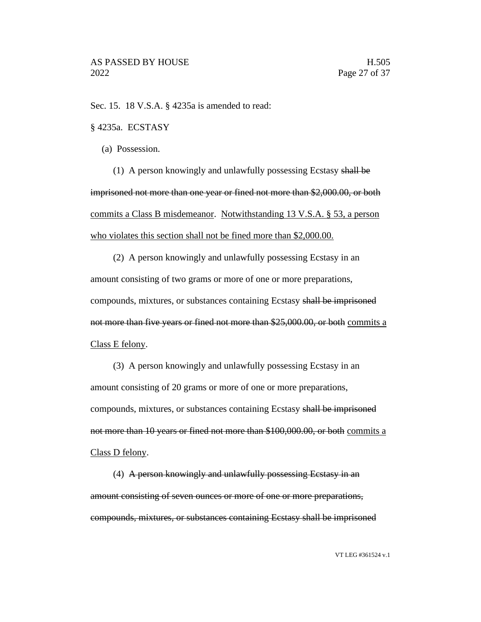Sec. 15. 18 V.S.A. § 4235a is amended to read:

#### § 4235a. ECSTASY

(a) Possession.

(1) A person knowingly and unlawfully possessing Ecstasy shall be imprisoned not more than one year or fined not more than \$2,000.00, or both commits a Class B misdemeanor. Notwithstanding 13 V.S.A. § 53, a person who violates this section shall not be fined more than \$2,000.00.

(2) A person knowingly and unlawfully possessing Ecstasy in an amount consisting of two grams or more of one or more preparations, compounds, mixtures, or substances containing Ecstasy shall be imprisoned not more than five years or fined not more than \$25,000.00, or both commits a Class E felony.

(3) A person knowingly and unlawfully possessing Ecstasy in an amount consisting of 20 grams or more of one or more preparations, compounds, mixtures, or substances containing Ecstasy shall be imprisoned not more than 10 years or fined not more than \$100,000.00, or both commits a Class D felony.

(4) A person knowingly and unlawfully possessing Ecstasy in an amount consisting of seven ounces or more of one or more preparations, compounds, mixtures, or substances containing Ecstasy shall be imprisoned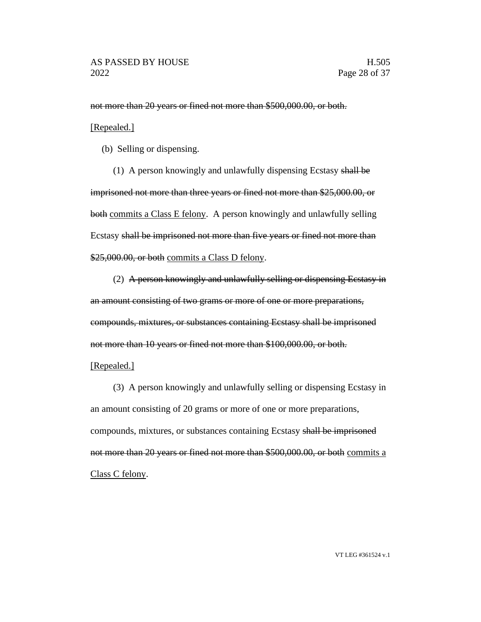not more than 20 years or fined not more than \$500,000.00, or both.

#### [Repealed.]

(b) Selling or dispensing.

(1) A person knowingly and unlawfully dispensing Ecstasy shall be imprisoned not more than three years or fined not more than \$25,000.00, or both commits a Class E felony. A person knowingly and unlawfully selling Ecstasy shall be imprisoned not more than five years or fined not more than \$25,000.00, or both commits a Class D felony.

(2) A person knowingly and unlawfully selling or dispensing Ecstasy in an amount consisting of two grams or more of one or more preparations, compounds, mixtures, or substances containing Ecstasy shall be imprisoned not more than 10 years or fined not more than \$100,000.00, or both.

#### [Repealed.]

(3) A person knowingly and unlawfully selling or dispensing Ecstasy in an amount consisting of 20 grams or more of one or more preparations, compounds, mixtures, or substances containing Ecstasy shall be imprisoned not more than 20 years or fined not more than \$500,000.00, or both commits a Class C felony.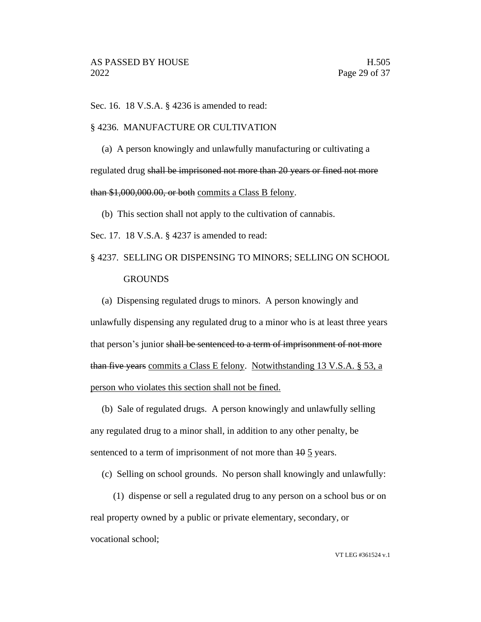Sec. 16. 18 V.S.A. § 4236 is amended to read:

#### § 4236. MANUFACTURE OR CULTIVATION

(a) A person knowingly and unlawfully manufacturing or cultivating a regulated drug shall be imprisoned not more than 20 years or fined not more than \$1,000,000.00, or both commits a Class B felony.

(b) This section shall not apply to the cultivation of cannabis.

Sec. 17. 18 V.S.A. § 4237 is amended to read:

## § 4237. SELLING OR DISPENSING TO MINORS; SELLING ON SCHOOL **GROUNDS**

(a) Dispensing regulated drugs to minors. A person knowingly and unlawfully dispensing any regulated drug to a minor who is at least three years that person's junior shall be sentenced to a term of imprisonment of not more than five years commits a Class E felony. Notwithstanding 13 V.S.A. § 53, a person who violates this section shall not be fined.

(b) Sale of regulated drugs. A person knowingly and unlawfully selling any regulated drug to a minor shall, in addition to any other penalty, be sentenced to a term of imprisonment of not more than  $\frac{10}{10}$  years.

(c) Selling on school grounds. No person shall knowingly and unlawfully:

(1) dispense or sell a regulated drug to any person on a school bus or on real property owned by a public or private elementary, secondary, or vocational school;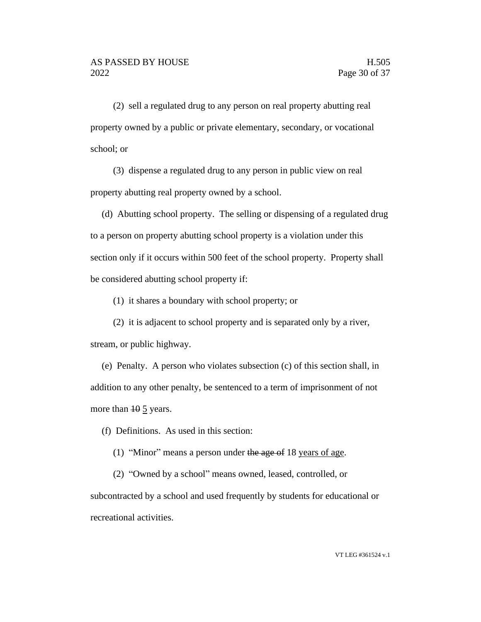(2) sell a regulated drug to any person on real property abutting real property owned by a public or private elementary, secondary, or vocational school; or

(3) dispense a regulated drug to any person in public view on real property abutting real property owned by a school.

(d) Abutting school property. The selling or dispensing of a regulated drug to a person on property abutting school property is a violation under this section only if it occurs within 500 feet of the school property. Property shall be considered abutting school property if:

(1) it shares a boundary with school property; or

(2) it is adjacent to school property and is separated only by a river, stream, or public highway.

(e) Penalty. A person who violates subsection (c) of this section shall, in addition to any other penalty, be sentenced to a term of imprisonment of not more than  $10 \frac{5}{2}$  years.

(f) Definitions. As used in this section:

(1) "Minor" means a person under the age of 18 years of age.

(2) "Owned by a school" means owned, leased, controlled, or subcontracted by a school and used frequently by students for educational or recreational activities.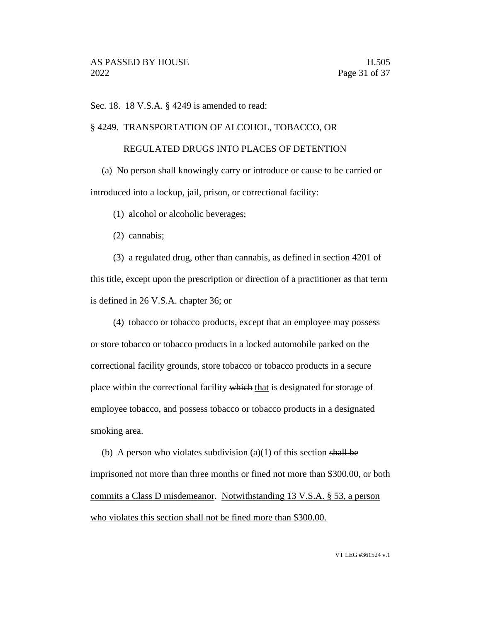Sec. 18. 18 V.S.A. § 4249 is amended to read:

§ 4249. TRANSPORTATION OF ALCOHOL, TOBACCO, OR

#### REGULATED DRUGS INTO PLACES OF DETENTION

(a) No person shall knowingly carry or introduce or cause to be carried or introduced into a lockup, jail, prison, or correctional facility:

(1) alcohol or alcoholic beverages;

(2) cannabis;

(3) a regulated drug, other than cannabis, as defined in section 4201 of this title, except upon the prescription or direction of a practitioner as that term is defined in 26 V.S.A. chapter 36; or

(4) tobacco or tobacco products, except that an employee may possess or store tobacco or tobacco products in a locked automobile parked on the correctional facility grounds, store tobacco or tobacco products in a secure place within the correctional facility which that is designated for storage of employee tobacco, and possess tobacco or tobacco products in a designated smoking area.

(b) A person who violates subdivision (a)(1) of this section shall be imprisoned not more than three months or fined not more than \$300.00, or both commits a Class D misdemeanor. Notwithstanding 13 V.S.A. § 53, a person who violates this section shall not be fined more than \$300.00.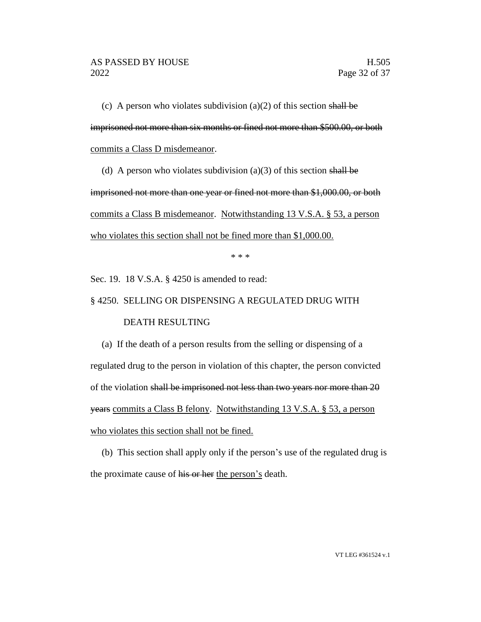(c) A person who violates subdivision (a)(2) of this section shall be imprisoned not more than six months or fined not more than \$500.00, or both commits a Class D misdemeanor.

(d) A person who violates subdivision (a)(3) of this section shall be

imprisoned not more than one year or fined not more than \$1,000.00, or both commits a Class B misdemeanor. Notwithstanding 13 V.S.A. § 53, a person who violates this section shall not be fined more than \$1,000.00.

\* \* \*

Sec. 19. 18 V.S.A. § 4250 is amended to read:

#### § 4250. SELLING OR DISPENSING A REGULATED DRUG WITH

#### DEATH RESULTING

(a) If the death of a person results from the selling or dispensing of a regulated drug to the person in violation of this chapter, the person convicted of the violation shall be imprisoned not less than two years nor more than 20 years commits a Class B felony. Notwithstanding 13 V.S.A. § 53, a person who violates this section shall not be fined.

(b) This section shall apply only if the person's use of the regulated drug is the proximate cause of his or her the person's death.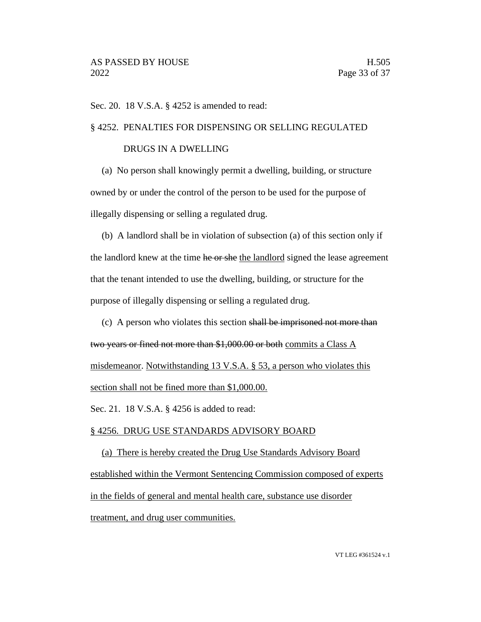Sec. 20. 18 V.S.A. § 4252 is amended to read:

#### § 4252. PENALTIES FOR DISPENSING OR SELLING REGULATED

#### DRUGS IN A DWELLING

(a) No person shall knowingly permit a dwelling, building, or structure owned by or under the control of the person to be used for the purpose of illegally dispensing or selling a regulated drug.

(b) A landlord shall be in violation of subsection (a) of this section only if the landlord knew at the time he or she the landlord signed the lease agreement that the tenant intended to use the dwelling, building, or structure for the purpose of illegally dispensing or selling a regulated drug.

(c) A person who violates this section shall be imprisoned not more than two years or fined not more than \$1,000.00 or both commits a Class A misdemeanor. Notwithstanding 13 V.S.A. § 53, a person who violates this section shall not be fined more than \$1,000.00.

Sec. 21. 18 V.S.A. § 4256 is added to read:

#### § 4256. DRUG USE STANDARDS ADVISORY BOARD

(a) There is hereby created the Drug Use Standards Advisory Board established within the Vermont Sentencing Commission composed of experts in the fields of general and mental health care, substance use disorder treatment, and drug user communities.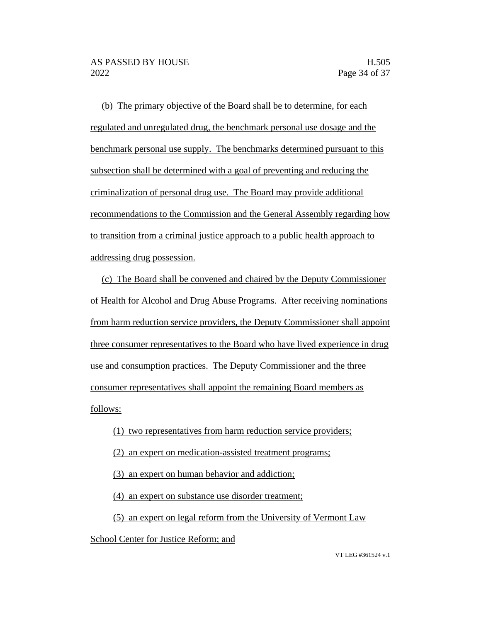(b) The primary objective of the Board shall be to determine, for each regulated and unregulated drug, the benchmark personal use dosage and the benchmark personal use supply. The benchmarks determined pursuant to this subsection shall be determined with a goal of preventing and reducing the criminalization of personal drug use. The Board may provide additional recommendations to the Commission and the General Assembly regarding how to transition from a criminal justice approach to a public health approach to addressing drug possession.

(c) The Board shall be convened and chaired by the Deputy Commissioner of Health for Alcohol and Drug Abuse Programs. After receiving nominations from harm reduction service providers, the Deputy Commissioner shall appoint three consumer representatives to the Board who have lived experience in drug use and consumption practices. The Deputy Commissioner and the three consumer representatives shall appoint the remaining Board members as follows:

- (1) two representatives from harm reduction service providers;
- (2) an expert on medication-assisted treatment programs;
- (3) an expert on human behavior and addiction;

(4) an expert on substance use disorder treatment;

(5) an expert on legal reform from the University of Vermont Law

School Center for Justice Reform; and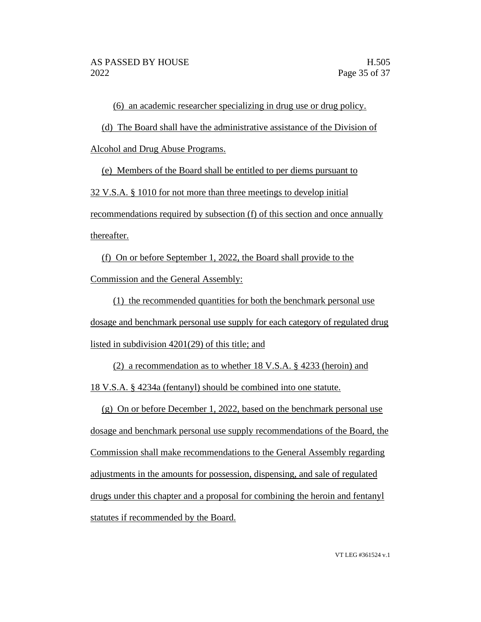(6) an academic researcher specializing in drug use or drug policy.

(d) The Board shall have the administrative assistance of the Division of

Alcohol and Drug Abuse Programs.

(e) Members of the Board shall be entitled to per diems pursuant to

32 V.S.A. § 1010 for not more than three meetings to develop initial

recommendations required by subsection (f) of this section and once annually thereafter.

(f) On or before September 1, 2022, the Board shall provide to the Commission and the General Assembly:

(1) the recommended quantities for both the benchmark personal use dosage and benchmark personal use supply for each category of regulated drug listed in subdivision 4201(29) of this title; and

(2) a recommendation as to whether 18 V.S.A. § 4233 (heroin) and

18 V.S.A. § 4234a (fentanyl) should be combined into one statute.

(g) On or before December 1, 2022, based on the benchmark personal use dosage and benchmark personal use supply recommendations of the Board, the Commission shall make recommendations to the General Assembly regarding adjustments in the amounts for possession, dispensing, and sale of regulated drugs under this chapter and a proposal for combining the heroin and fentanyl statutes if recommended by the Board.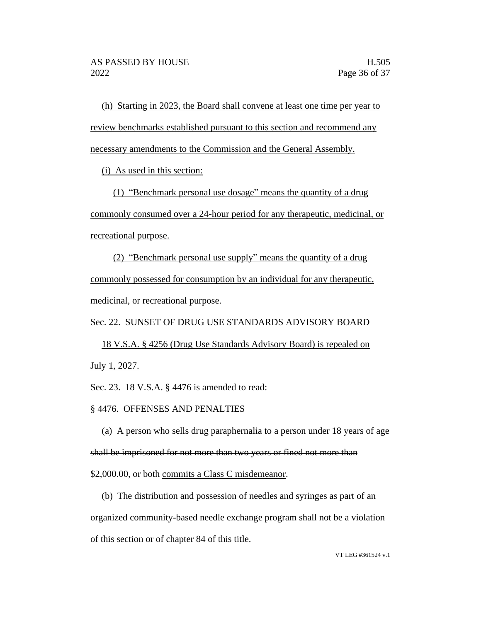(h) Starting in 2023, the Board shall convene at least one time per year to review benchmarks established pursuant to this section and recommend any necessary amendments to the Commission and the General Assembly.

(i) As used in this section:

(1) "Benchmark personal use dosage" means the quantity of a drug commonly consumed over a 24-hour period for any therapeutic, medicinal, or recreational purpose.

(2) "Benchmark personal use supply" means the quantity of a drug commonly possessed for consumption by an individual for any therapeutic, medicinal, or recreational purpose.

Sec. 22. SUNSET OF DRUG USE STANDARDS ADVISORY BOARD

18 V.S.A. § 4256 (Drug Use Standards Advisory Board) is repealed on July 1, 2027.

Sec. 23. 18 V.S.A. § 4476 is amended to read:

#### § 4476. OFFENSES AND PENALTIES

(a) A person who sells drug paraphernalia to a person under 18 years of age shall be imprisoned for not more than two years or fined not more than \$2,000.00, or both commits a Class C misdemeanor.

(b) The distribution and possession of needles and syringes as part of an organized community-based needle exchange program shall not be a violation of this section or of chapter 84 of this title.